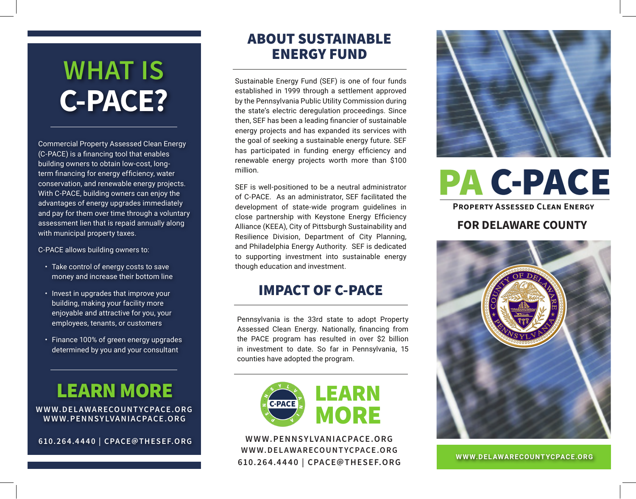## **WHAT IS C-PACE?**

Commercial Property Assessed Clean Energy (C-PACE) is a financing tool that enables building owners to obtain low-cost, longterm financing for energy efficiency, water conservation, and renewable energy projects. With C-PACE, building owners can enjoy the advantages of energy upgrades immediately and pay for them over time through a voluntary assessment lien that is repaid annually along with municipal property taxes.

C-PACE allows building owners to:

- Take control of energy costs to save money and increase their bottom line
- Invest in upgrades that improve your building, making your facility more enjoyable and attractive for you, your employees, tenants, or customers
- Finance 100% of green energy upgrades determined by you and your consultant

### LEARN MORE

**WWW.PENNSYLVANIACPACE.ORG WWW.DELAWARECOUNTYCPACE.ORG**

**610.26 4.4 4 40 | CPACE@THESEF.ORG**

#### ABOUT SUSTAINABLE ENERGY FUND

Sustainable Energy Fund (SEF) is one of four funds established in 1999 through a settlement approved by the Pennsylvania Public Utility Commission during the state's electric deregulation proceedings. Since then, SEF has been a leading financier of sustainable energy projects and has expanded its services with the goal of seeking a sustainable energy future. SEF has participated in funding energy efficiency and renewable energy projects worth more than \$100 million.

SEF is well-positioned to be a neutral administrator of C-PACE. As an administrator, SEF facilitated the development of state-wide program guidelines in close partnership with Keystone Energy Efficiency Alliance (KEEA), City of Pittsburgh Sustainability and Resilience Division, Department of City Planning, and Philadelphia Energy Authority. SEF is dedicated to supporting investment into sustainable energy though education and investment.

#### IMPACT OF C-PACE

Pennsylvania is the 33rd state to adopt Property Assessed Clean Energy. Nationally, financing from the PACE program has resulted in over \$2 billion in investment to date. So far in Pennsylvania, 15 counties have adopted the program.



**WWW.PENNSYLVANIACPACE.ORG 610.26 4.4 4 40 | CPACE@THESEF.ORG WWW.DELAWARECOUNTYCPACE.O RG** 



# **PA C-PACE**

**PROPERTY ASSESSED CLEAN ENERGY** 

#### FOR DELAWARE COUNTY



**WWW.DELAWARECOUNTYCPACE.ORG**